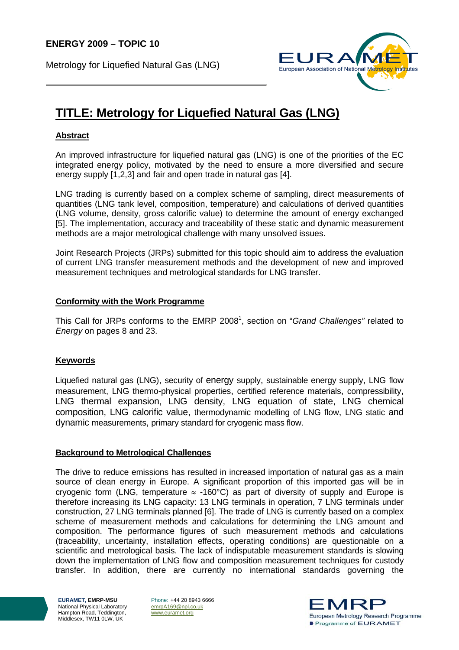Metrology for Liquefied Natural Gas (LNG)



# **TITLE: Metrology for Liquefied Natural Gas (LNG)**

## **Abstract**

An improved infrastructure for liquefied natural gas (LNG) is one of the priorities of the EC integrated energy policy, motivated by the need to ensure a more diversified and secure energy supply [1,2,3] and fair and open trade in natural gas [4].

LNG trading is currently based on a complex scheme of sampling, direct measurements of quantities (LNG tank level, composition, temperature) and calculations of derived quantities (LNG volume, density, gross calorific value) to determine the amount of energy exchanged [5]. The implementation, accuracy and traceability of these static and dynamic measurement methods are a major metrological challenge with many unsolved issues.

Joint Research Projects (JRPs) submitted for this topic should aim to address the evaluation of current LNG transfer measurement methods and the development of new and improved measurement techniques and metrological standards for LNG transfer.

### **Conformity with the Work Programme**

This Call for JRPs conforms to the EMRP 2008<sup>1</sup>, section on "*Grand Challenges*" related to *Energy* on pages 8 and 23.

### **Keywords**

Liquefied natural gas (LNG), security of energy supply, sustainable energy supply, LNG flow measurement, LNG thermo-physical properties, certified reference materials, compressibility, LNG thermal expansion, LNG density, LNG equation of state, LNG chemical composition, LNG calorific value, thermodynamic modelling of LNG flow, LNG static and dynamic measurements, primary standard for cryogenic mass flow.

### **Background to Metrological Challenges**

The drive to reduce emissions has resulted in increased importation of natural gas as a main source of clean energy in Europe. A significant proportion of this imported gas will be in cryogenic form (LNG, temperature  $\approx$  -160°C) as part of diversity of supply and Europe is therefore increasing its LNG capacity: 13 LNG terminals in operation, 7 LNG terminals under construction, 27 LNG terminals planned [6]. The trade of LNG is currently based on a complex scheme of measurement methods and calculations for determining the LNG amount and composition. The performance figures of such measurement methods and calculations (traceability, uncertainty, installation effects, operating conditions) are questionable on a scientific and metrological basis. The lack of indisputable measurement standards is slowing down the implementation of LNG flow and composition measurement techniques for custody transfer. In addition, there are currently no international standards governing the

**EURAMET, EMRP-MSU**  National Physical Laboratory Hampton Road, Teddington, Middlesex, TW11 0LW, UK

Phone: +44 20 8943 6666 emrpA169@npl.co.uk www.euramet.org

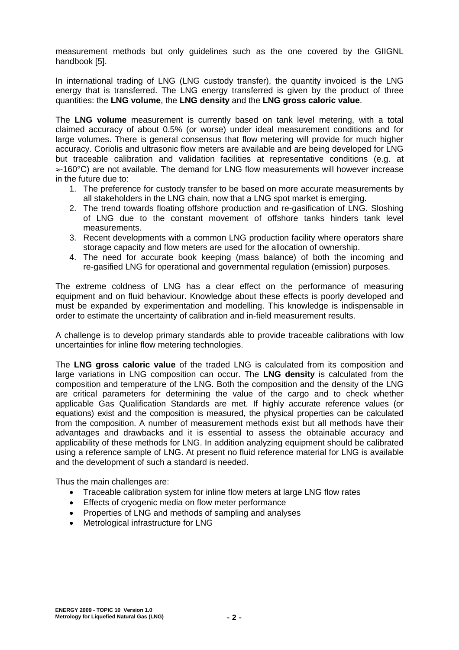measurement methods but only guidelines such as the one covered by the GIIGNL handbook [5].

In international trading of LNG (LNG custody transfer), the quantity invoiced is the LNG energy that is transferred. The LNG energy transferred is given by the product of three quantities: the **LNG volume**, the **LNG density** and the **LNG gross caloric value**.

The **LNG volume** measurement is currently based on tank level metering, with a total claimed accuracy of about 0.5% (or worse) under ideal measurement conditions and for large volumes. There is general consensus that flow metering will provide for much higher accuracy. Coriolis and ultrasonic flow meters are available and are being developed for LNG but traceable calibration and validation facilities at representative conditions (e.g. at ≈-160°C) are not available. The demand for LNG flow measurements will however increase in the future due to:

- 1. The preference for custody transfer to be based on more accurate measurements by all stakeholders in the LNG chain, now that a LNG spot market is emerging.
- 2. The trend towards floating offshore production and re-gasification of LNG. Sloshing of LNG due to the constant movement of offshore tanks hinders tank level measurements.
- 3. Recent developments with a common LNG production facility where operators share storage capacity and flow meters are used for the allocation of ownership.
- 4. The need for accurate book keeping (mass balance) of both the incoming and re-gasified LNG for operational and governmental regulation (emission) purposes.

The extreme coldness of LNG has a clear effect on the performance of measuring equipment and on fluid behaviour. Knowledge about these effects is poorly developed and must be expanded by experimentation and modelling. This knowledge is indispensable in order to estimate the uncertainty of calibration and in-field measurement results.

A challenge is to develop primary standards able to provide traceable calibrations with low uncertainties for inline flow metering technologies.

The **LNG gross caloric value** of the traded LNG is calculated from its composition and large variations in LNG composition can occur. The **LNG density** is calculated from the composition and temperature of the LNG. Both the composition and the density of the LNG are critical parameters for determining the value of the cargo and to check whether applicable Gas Qualification Standards are met. If highly accurate reference values (or equations) exist and the composition is measured, the physical properties can be calculated from the composition. A number of measurement methods exist but all methods have their advantages and drawbacks and it is essential to assess the obtainable accuracy and applicability of these methods for LNG. In addition analyzing equipment should be calibrated using a reference sample of LNG. At present no fluid reference material for LNG is available and the development of such a standard is needed.

Thus the main challenges are:

- Traceable calibration system for inline flow meters at large LNG flow rates
- Effects of cryogenic media on flow meter performance
- Properties of LNG and methods of sampling and analyses
- Metrological infrastructure for LNG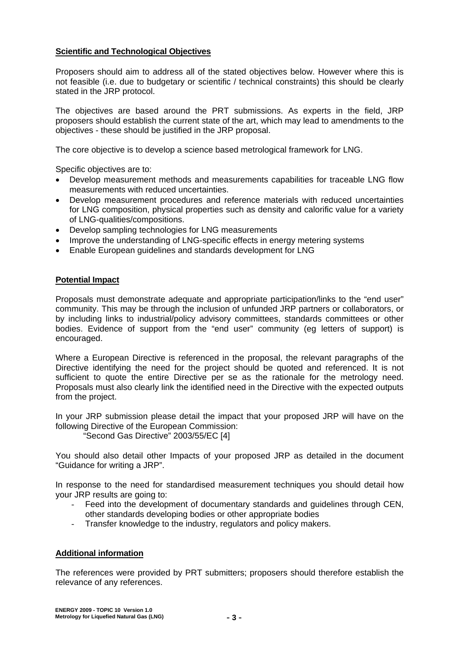### **Scientific and Technological Objectives**

Proposers should aim to address all of the stated objectives below. However where this is not feasible (i.e. due to budgetary or scientific / technical constraints) this should be clearly stated in the JRP protocol.

The objectives are based around the PRT submissions. As experts in the field, JRP proposers should establish the current state of the art, which may lead to amendments to the objectives - these should be justified in the JRP proposal.

The core objective is to develop a science based metrological framework for LNG.

Specific objectives are to:

- Develop measurement methods and measurements capabilities for traceable LNG flow measurements with reduced uncertainties.
- Develop measurement procedures and reference materials with reduced uncertainties for LNG composition, physical properties such as density and calorific value for a variety of LNG-qualities/compositions.
- Develop sampling technologies for LNG measurements
- Improve the understanding of LNG-specific effects in energy metering systems
- Enable European guidelines and standards development for LNG

#### **Potential Impact**

Proposals must demonstrate adequate and appropriate participation/links to the "end user" community. This may be through the inclusion of unfunded JRP partners or collaborators, or by including links to industrial/policy advisory committees, standards committees or other bodies. Evidence of support from the "end user" community (eg letters of support) is encouraged.

Where a European Directive is referenced in the proposal, the relevant paragraphs of the Directive identifying the need for the project should be quoted and referenced. It is not sufficient to quote the entire Directive per se as the rationale for the metrology need. Proposals must also clearly link the identified need in the Directive with the expected outputs from the project.

In your JRP submission please detail the impact that your proposed JRP will have on the following Directive of the European Commission:

"Second Gas Directive" 2003/55/EC [4]

You should also detail other Impacts of your proposed JRP as detailed in the document "Guidance for writing a JRP".

In response to the need for standardised measurement techniques you should detail how your JRP results are going to:

- Feed into the development of documentary standards and quidelines through CEN, other standards developing bodies or other appropriate bodies
- Transfer knowledge to the industry, regulators and policy makers.

### **Additional information**

The references were provided by PRT submitters; proposers should therefore establish the relevance of any references.